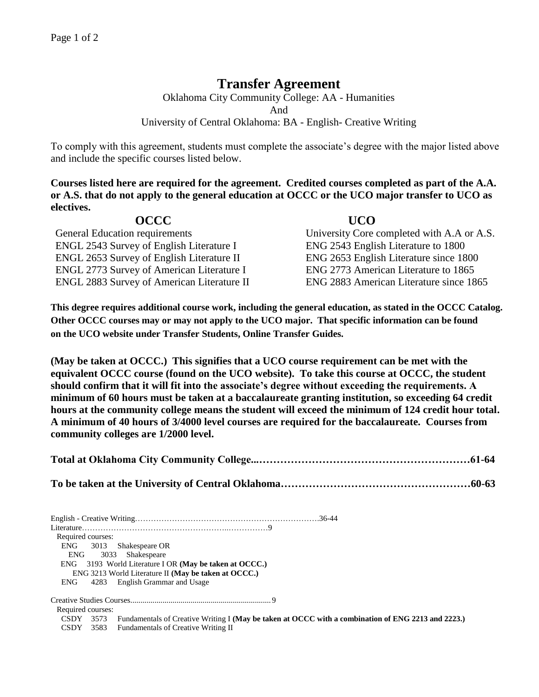## **Transfer Agreement**

Oklahoma City Community College: AA - Humanities And University of Central Oklahoma: BA - English- Creative Writing

To comply with this agreement, students must complete the associate's degree with the major listed above and include the specific courses listed below.

**Courses listed here are required for the agreement. Credited courses completed as part of the A.A. or A.S. that do not apply to the general education at OCCC or the UCO major transfer to UCO as electives.**

| <b>OCCC</b>                                       | <b>UCO</b>                                 |
|---------------------------------------------------|--------------------------------------------|
| General Education requirements                    | University Core completed with A.A or A.S. |
| <b>ENGL 2543 Survey of English Literature I</b>   | ENG 2543 English Literature to 1800        |
| <b>ENGL 2653 Survey of English Literature II</b>  | ENG 2653 English Literature since 1800     |
| <b>ENGL 2773 Survey of American Literature I</b>  | ENG 2773 American Literature to 1865       |
| <b>ENGL 2883 Survey of American Literature II</b> | ENG 2883 American Literature since 1865    |

**This degree requires additional course work, including the general education, as stated in the OCCC Catalog. Other OCCC courses may or may not apply to the UCO major. That specific information can be found on the UCO website under Transfer Students, Online Transfer Guides.**

**(May be taken at OCCC.) This signifies that a UCO course requirement can be met with the equivalent OCCC course (found on the UCO website). To take this course at OCCC, the student should confirm that it will fit into the associate's degree without exceeding the requirements. A minimum of 60 hours must be taken at a baccalaureate granting institution, so exceeding 64 credit hours at the community college means the student will exceed the minimum of 124 credit hour total. A minimum of 40 hours of 3/4000 level courses are required for the baccalaureate. Courses from community colleges are 1/2000 level.**

English - Creative Writing…………………………………………………………….36-44 Literature………………………………………………..……………9 Required courses: ENG 3013 Shakespeare OR ENG 3033 Shakespeare ENG 3193 World Literature I OR **(May be taken at OCCC.)** ENG 3213 World Literature II **(May be taken at OCCC.)** ENG 4283 English Grammar and Usage Creative Studies Courses...................................................................... 9 Required courses: CSDY 3573 Fundamentals of Creative Writing I **(May be taken at OCCC with a combination of ENG 2213 and 2223.)** CSDY 3583 Fundamentals of Creative Writing II